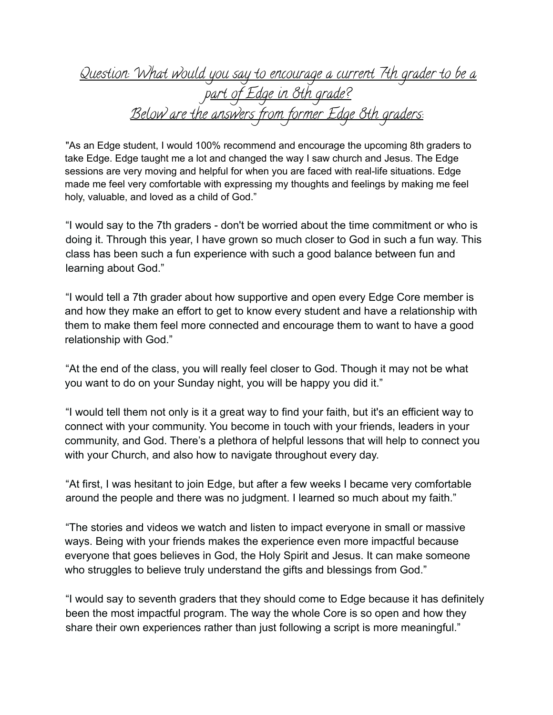<u>Question: What would you say to encourage a current 7th grader to be a</u> part of Edge in 8th grade? Below are the answers from former Edge 8th graders:

"As an Edge student, I would 100% recommend and encourage the upcoming 8th graders to take Edge. Edge taught me a lot and changed the way I saw church and Jesus. The Edge sessions are very moving and helpful for when you are faced with real-life situations. Edge made me feel very comfortable with expressing my thoughts and feelings by making me feel holy, valuable, and loved as a child of God."

"I would say to the 7th graders - don't be worried about the time commitment or who is doing it. Through this year, I have grown so much closer to God in such a fun way. This class has been such a fun experience with such a good balance between fun and learning about God."

"I would tell a 7th grader about how supportive and open every Edge Core member is and how they make an effort to get to know every student and have a relationship with them to make them feel more connected and encourage them to want to have a good relationship with God."

"At the end of the class, you will really feel closer to God. Though it may not be what you want to do on your Sunday night, you will be happy you did it."

"I would tell them not only is it a great way to find your faith, but it's an efficient way to connect with your community. You become in touch with your friends, leaders in your community, and God. There's a plethora of helpful lessons that will help to connect you with your Church, and also how to navigate throughout every day.

"At first, I was hesitant to join Edge, but after a few weeks I became very comfortable around the people and there was no judgment. I learned so much about my faith."

"The stories and videos we watch and listen to impact everyone in small or massive ways. Being with your friends makes the experience even more impactful because everyone that goes believes in God, the Holy Spirit and Jesus. It can make someone who struggles to believe truly understand the gifts and blessings from God."

"I would say to seventh graders that they should come to Edge because it has definitely been the most impactful program. The way the whole Core is so open and how they share their own experiences rather than just following a script is more meaningful."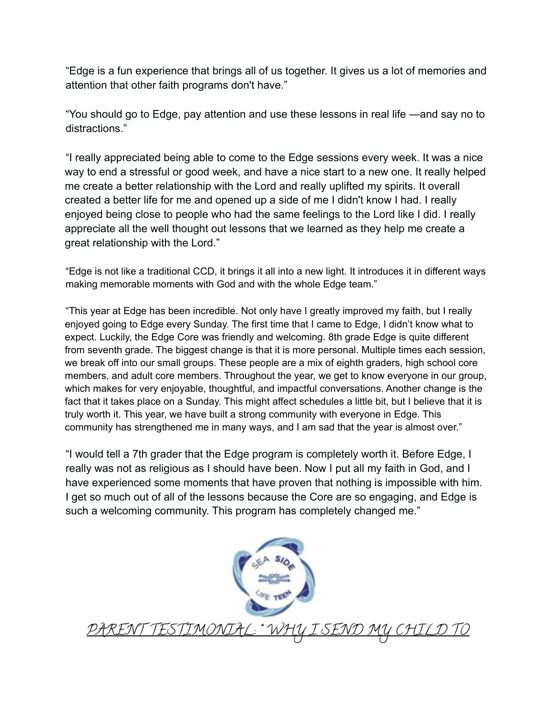"Edge is a fun experience that brings all of us together. It gives us a lot of memories and attention that other faith programs don't have."

"You should go to Edge, pay attention and use these lessons in real life —and say no to distractions."

"I really appreciated being able to come to the Edge sessions every week. It was a nice way to end a stressful or good week, and have a nice start to a new one. It really helped me create a better relationship with the Lord and really uplifted my spirits. It overall created a better life for me and opened up a side of me I didn't know I had. I really enjoyed being close to people who had the same feelings to the Lord like I did. I really appreciate all the well thought out lessons that we learned as they help me create a great relationship with the Lord."

"Edge is not like a traditional CCD, it brings it all into a new light. It introduces it in different ways making memorable moments with God and with the whole Edge team."

"This year at Edge has been incredible. Not only have I greatly improved my faith, but I really enjoyed going to Edge every Sunday. The first time that I came to Edge, I didn't know what to expect. Luckily, the Edge Core was friendly and welcoming. 8th grade Edge is quite different from seventh grade. The biggest change is that it is more personal. Multiple times each session, we break off into our small groups. These people are a mix of eighth graders, high school core members, and adult core members. Throughout the year, we get to know everyone in our group, which makes for very enjoyable, thoughtful, and impactful conversations. Another change is the fact that it takes place on a Sunday. This might affect schedules a little bit, but I believe that it is truly worth it. This year, we have built a strong community with everyone in Edge. This community has strengthened me in many ways, and I am sad that the year is almost over."

"I would tell a 7th grader that the Edge program is completely worth it. Before Edge, I really was not as religious as I should have been. Now I put all my faith in God, and I have experienced some moments that have proven that nothing is impossible with him. I get so much out of all of the lessons because the Core are so engaging, and Edge is such a welcoming community. This program has completely changed me."

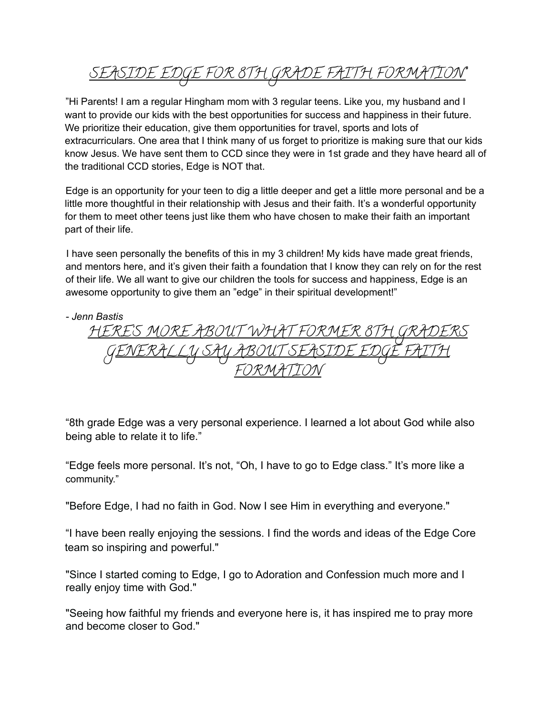## SEASIDE EDGE FOR 8TH GRADE FAITH FORMATION"

"Hi Parents! I am a regular Hingham mom with 3 regular teens. Like you, my husband and I want to provide our kids with the best opportunities for success and happiness in their future. We prioritize their education, give them opportunities for travel, sports and lots of extracurriculars. One area that I think many of us forget to prioritize is making sure that our kids know Jesus. We have sent them to CCD since they were in 1st grade and they have heard all of the traditional CCD stories, Edge is NOT that.

Edge is an opportunity for your teen to dig a little deeper and get a little more personal and be a little more thoughtful in their relationship with Jesus and their faith. It's a wonderful opportunity for them to meet other teens just like them who have chosen to make their faith an important part of their life.

I have seen personally the benefits of this in my 3 children! My kids have made great friends, and mentors here, and it's given their faith a foundation that I know they can rely on for the rest of their life. We all want to give our children the tools for success and happiness, Edge is an awesome opportunity to give them an "edge" in their spiritual development!"

*- Jenn Bastis* HERE'S MORE ABOUT WA GENERALLY SAY ABOUT SEASIDE EDGE FAITH FORMATION

"8th grade Edge was a very personal experience. I learned a lot about God while also being able to relate it to life."

"Edge feels more personal. It's not, "Oh, I have to go to Edge class." It's more like a community."

"Before Edge, I had no faith in God. Now I see Him in everything and everyone."

"I have been really enjoying the sessions. I find the words and ideas of the Edge Core team so inspiring and powerful."

"Since I started coming to Edge, I go to Adoration and Confession much more and I really enjoy time with God."

"Seeing how faithful my friends and everyone here is, it has inspired me to pray more and become closer to God."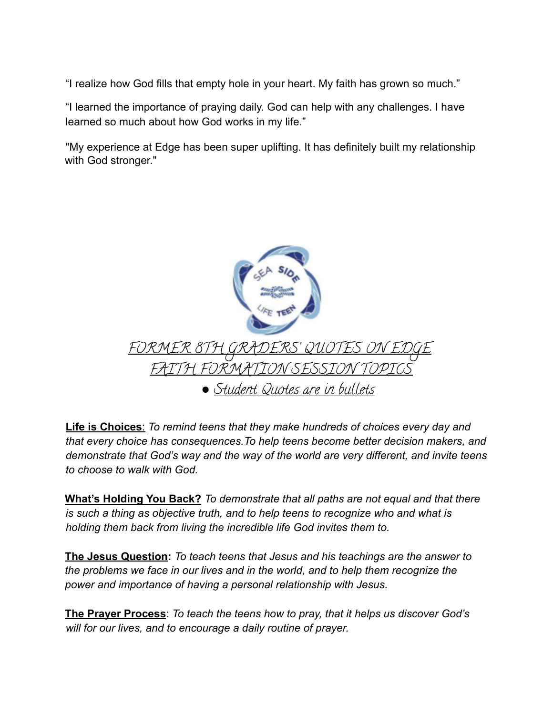"I realize how God fills that empty hole in your heart. My faith has grown so much."

"I learned the importance of praying daily. God can help with any challenges. I have learned so much about how God works in my life."

"My experience at Edge has been super uplifting. It has definitely built my relationship with God stronger."



**Life is Choices**: *To remind teens that they make hundreds of choices every day and that every choice has consequences.To help teens become better decision makers, and demonstrate that God's way and the way of the world are very different, and invite teens to choose to walk with God.*

**What's Holding You Back?** *To demonstrate that all paths are not equal and that there is such a thing as objective truth, and to help teens to recognize who and what is holding them back from living the incredible life God invites them to.*

**The Jesus Question:** *To teach teens that Jesus and his teachings are the answer to the problems we face in our lives and in the world, and to help them recognize the power and importance of having a personal relationship with Jesus.*

**The Prayer Process**: *To teach the teens how to pray, that it helps us discover God's will for our lives, and to encourage a daily routine of prayer.*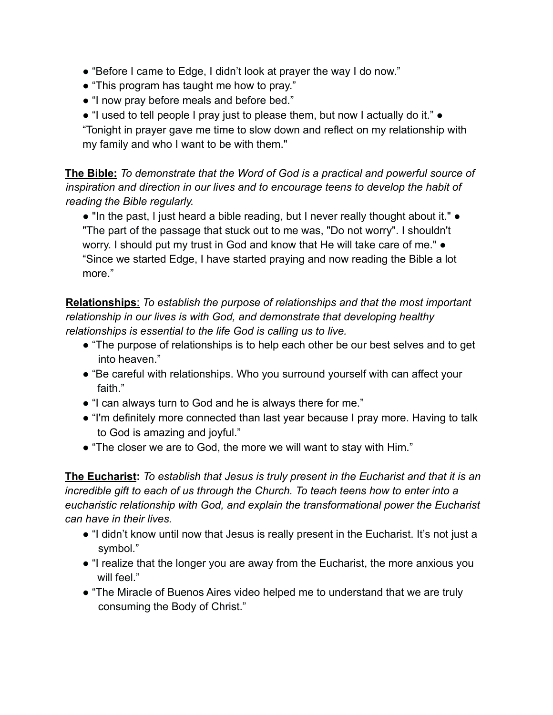- "Before I came to Edge, I didn't look at prayer the way I do now."
- "This program has taught me how to pray."
- "I now pray before meals and before bed."
- "I used to tell people I pray just to please them, but now I actually do it." "Tonight in prayer gave me time to slow down and reflect on my relationship with

my family and who I want to be with them."

**The Bible:** *To demonstrate that the Word of God is a practical and powerful source of inspiration and direction in our lives and to encourage teens to develop the habit of reading the Bible regularly.*

● "In the past, I just heard a bible reading, but I never really thought about it." ● "The part of the passage that stuck out to me was, "Do not worry". I shouldn't worry. I should put my trust in God and know that He will take care of me." ● "Since we started Edge, I have started praying and now reading the Bible a lot more."

**Relationships**: *To establish the purpose of relationships and that the most important relationship in our lives is with God, and demonstrate that developing healthy relationships is essential to the life God is calling us to live.*

- "The purpose of relationships is to help each other be our best selves and to get into heaven."
- "Be careful with relationships. Who you surround yourself with can affect your faith"
- "I can always turn to God and he is always there for me."
- "I'm definitely more connected than last year because I pray more. Having to talk to God is amazing and joyful."
- "The closer we are to God, the more we will want to stay with Him."

**The Eucharist:** *To establish that Jesus is truly present in the Eucharist and that it is an incredible gift to each of us through the Church. To teach teens how to enter into a eucharistic relationship with God, and explain the transformational power the Eucharist can have in their lives.*

- "I didn't know until now that Jesus is really present in the Eucharist. It's not just a symbol."
- "I realize that the longer you are away from the Eucharist, the more anxious you will feel."
- "The Miracle of Buenos Aires video helped me to understand that we are truly consuming the Body of Christ."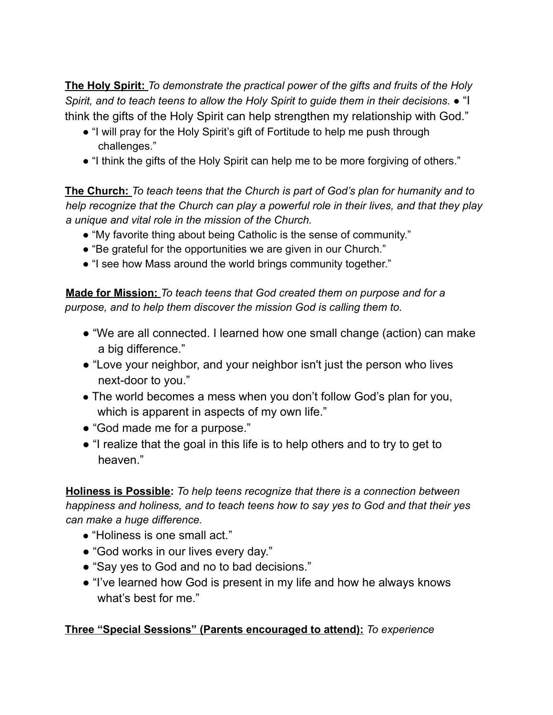**The Holy Spirit:** *To demonstrate the practical power of the gifts and fruits of the Holy Spirit, and to teach teens to allow the Holy Spirit to guide them in their decisions.* ● "I think the gifts of the Holy Spirit can help strengthen my relationship with God."

- "I will pray for the Holy Spirit's gift of Fortitude to help me push through challenges."
- "I think the gifts of the Holy Spirit can help me to be more forgiving of others."

**The Church:** *To teach teens that the Church is part of God's plan for humanity and to help recognize that the Church can play a powerful role in their lives, and that they play a unique and vital role in the mission of the Church.*

- "My favorite thing about being Catholic is the sense of community."
- "Be grateful for the opportunities we are given in our Church."
- "I see how Mass around the world brings community together."

**Made for Mission:** *To teach teens that God created them on purpose and for a purpose, and to help them discover the mission God is calling them to.*

- "We are all connected. I learned how one small change (action) can make a big difference."
- "Love your neighbor, and your neighbor isn't just the person who lives next-door to you."
- *●* The world becomes a mess when you don't follow God's plan for you, which is apparent in aspects of my own life."
- "God made me for a purpose."
- "I realize that the goal in this life is to help others and to try to get to heaven."

**Holiness is Possible:** *To help teens recognize that there is a connection between happiness and holiness, and to teach teens how to say yes to God and that their yes can make a huge difference.*

- *●* "Holiness is one small act."
- "God works in our lives every day."
- "Say yes to God and no to bad decisions."
- "I've learned how God is present in my life and how he always knows what's best for me."

## **Three "Special Sessions" (Parents encouraged to attend):** *To experience*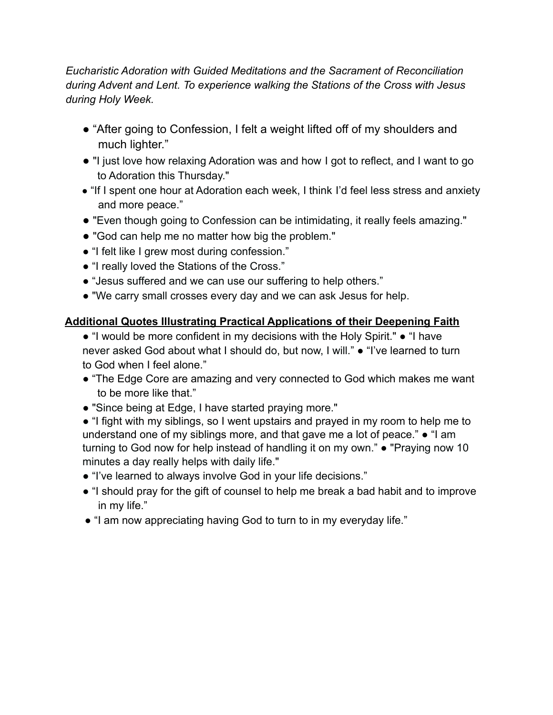*Eucharistic Adoration with Guided Meditations and the Sacrament of Reconciliation during Advent and Lent. To experience walking the Stations of the Cross with Jesus during Holy Week.*

- "After going to Confession, I felt a weight lifted off of my shoulders and much lighter."
- "I just love how relaxing Adoration was and how I got to reflect, and I want to go to Adoration this Thursday."
- "If I spent one hour at Adoration each week, I think I'd feel less stress and anxiety and more peace."
- "Even though going to Confession can be intimidating, it really feels amazing."
- "God can help me no matter how big the problem."
- "I felt like I grew most during confession."
- "I really loved the Stations of the Cross."
- "Jesus suffered and we can use our suffering to help others."
- "We carry small crosses every day and we can ask Jesus for help.

## **Additional Quotes Illustrating Practical Applications of their Deepening Faith**

- "I would be more confident in my decisions with the Holy Spirit." "I have never asked God about what I should do, but now, I will." • "I've learned to turn to God when I feel alone."
- "The Edge Core are amazing and very connected to God which makes me want to be more like that."
- "Since being at Edge, I have started praying more."
- "I fight with my siblings, so I went upstairs and prayed in my room to help me to understand one of my siblings more, and that gave me a lot of peace." • "I am turning to God now for help instead of handling it on my own." • "Praying now 10 minutes a day really helps with daily life."
- "I've learned to always involve God in your life decisions."
- "I should pray for the gift of counsel to help me break a bad habit and to improve in my life."
- "I am now appreciating having God to turn to in my everyday life."